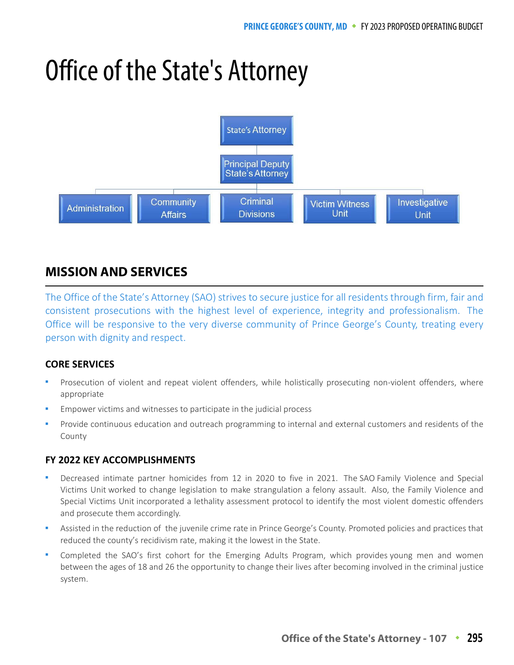# Office of the State's Attorney



# **MISSION AND SERVICES**

The Office of the State's Attorney (SAO) strives to secure justice for all residents through firm, fair and consistent prosecutions with the highest level of experience, integrity and professionalism. The Office will be responsive to the very diverse community of Prince George's County, treating every person with dignity and respect.

## **CORE SERVICES**

- Prosecution of violent and repeat violent offenders, while holistically prosecuting non-violent offenders, where appropriate
- Empower victims and witnesses to participate in the judicial process
- Provide continuous education and outreach programming to internal and external customers and residents of the County

## **FY 2022 KEY ACCOMPLISHMENTS**

- Decreased intimate partner homicides from 12 in 2020 to five in 2021. The SAO Family Violence and Special Victims Unit worked to change legislation to make strangulation a felony assault. Also, the Family Violence and Special Victims Unit incorporated a lethality assessment protocol to identify the most violent domestic offenders and prosecute them accordingly.
- Assisted in the reduction of the juvenile crime rate in Prince George's County. Promoted policies and practices that reduced the county's recidivism rate, making it the lowest in the State.
- Completed the SAO's first cohort for the Emerging Adults Program, which provides young men and women between the ages of 18 and 26 the opportunity to change their lives after becoming involved in the criminal justice system.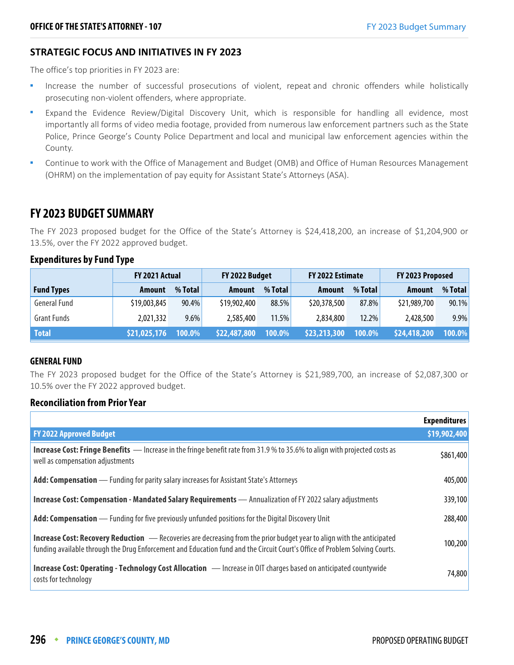## **STRATEGIC FOCUS AND INITIATIVES IN FY 2023**

The office's top priorities in FY 2023 are:

- **Increase the number of successful prosecutions of violent, repeat and chronic offenders while holistically** prosecuting non-violent offenders, where appropriate.
- Expand the Evidence Review/Digital Discovery Unit, which is responsible for handling all evidence, most importantly all forms of video media footage, provided from numerous law enforcement partners such as the State Police, Prince George's County Police Department and local and municipal law enforcement agencies within the County.
- Continue to work with the Office of Management and Budget (OMB) and Office of Human Resources Management (OHRM) on the implementation of pay equity for Assistant State's Attorneys (ASA).

## **FY 2023 BUDGET SUMMARY**

The FY 2023 proposed budget for the Office of the State's Attorney is \$24,418,200, an increase of \$1,204,900 or 13.5%, over the FY 2022 approved budget.

## **Expenditures by Fund Type**

|                     | FY 2021 Actual |         | FY 2022 Budget |         | FY 2022 Estimate |          | FY 2023 Proposed |          |
|---------------------|----------------|---------|----------------|---------|------------------|----------|------------------|----------|
| <b>Fund Types</b>   | <b>Amount</b>  | % Total | <b>Amount</b>  | % Total | Amount           | % Total  | Amount           | % Total  |
| <b>General Fund</b> | \$19,003,845   | 90.4%   | \$19,902,400   | 88.5%   | \$20,378,500     | 87.8%    | \$21,989,700     | $90.1\%$ |
| <b>Grant Funds</b>  | 2,021,332      | $9.6\%$ | 2,585,400      | 11.5%   | 2,834,800        | $12.2\%$ | 2,428,500        | $9.9\%$  |
| <b>Total</b>        | \$21,025,176   | 100.0%  | \$22,487,800   | 100.0%  | \$23,213,300     | 100.0%   | \$24,418,200     | 100.0%   |

#### **GENERAL FUND**

The FY 2023 proposed budget for the Office of the State's Attorney is \$21,989,700, an increase of \$2,087,300 or 10.5% over the FY 2022 approved budget.

## **Reconciliation from Prior Year**

|                                                                                                                                                                                                                                                              | <b>Expenditures</b> |
|--------------------------------------------------------------------------------------------------------------------------------------------------------------------------------------------------------------------------------------------------------------|---------------------|
| <b>FY 2022 Approved Budget</b>                                                                                                                                                                                                                               | \$19,902,400        |
| <b>Increase Cost: Fringe Benefits</b> — Increase in the fringe benefit rate from 31.9 % to 35.6% to align with projected costs as<br>well as compensation adjustments                                                                                        | \$861,400           |
| Add: Compensation — Funding for parity salary increases for Assistant State's Attorneys                                                                                                                                                                      | 405,000             |
| Increase Cost: Compensation - Mandated Salary Requirements - Annualization of FY 2022 salary adjustments                                                                                                                                                     | 339,100             |
| Add: Compensation — Funding for five previously unfunded positions for the Digital Discovery Unit                                                                                                                                                            | 288,400             |
| <b>Increase Cost: Recovery Reduction</b> - Recoveries are decreasing from the prior budget year to align with the anticipated<br>funding available through the Drug Enforcement and Education fund and the Circuit Court's Office of Problem Solving Courts. | 100,200             |
| Increase Cost: Operating - Technology Cost Allocation - Increase in OIT charges based on anticipated countywide<br>costs for technology                                                                                                                      | 74,800              |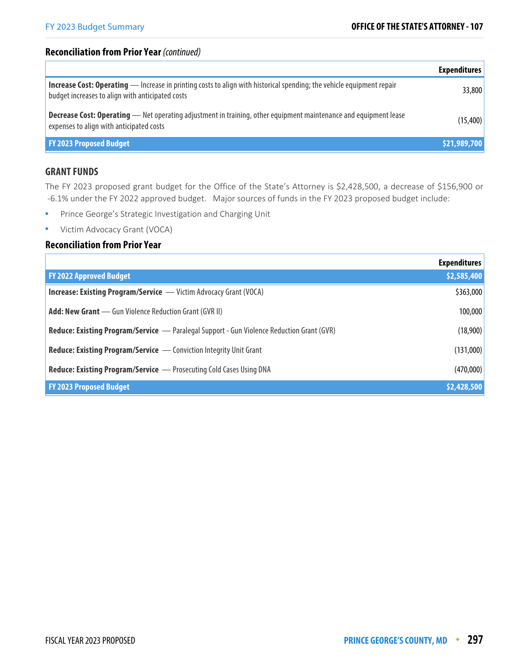## **Reconciliation from Prior Year** (continued)

|                                                                                                                                                                                  | <b>Expenditures</b> |
|----------------------------------------------------------------------------------------------------------------------------------------------------------------------------------|---------------------|
| <b>Increase Cost: Operating</b> — Increase in printing costs to align with historical spending; the vehicle equipment repair<br>budget increases to align with anticipated costs | 33,800              |
| <b>Decrease Cost: Operating</b> - Net operating adjustment in training, other equipment maintenance and equipment lease<br>expenses to align with anticipated costs              | (15,400)            |
| <b>FY 2023 Proposed Budget</b>                                                                                                                                                   | \$21,989,700        |

## **GRANT FUNDS**

The FY 2023 proposed grant budget for the Office of the State's Attorney is \$2,428,500, a decrease of \$156,900 or -6.1% under the FY 2022 approved budget. Major sources of funds in the FY 2023 proposed budget include:

- **Prince George's Strategic Investigation and Charging Unit**
- **•** Victim Advocacy Grant (VOCA)

#### **Reconciliation from Prior Year**

|                                                                                                  | <b>Expenditures</b> |
|--------------------------------------------------------------------------------------------------|---------------------|
| <b>FY 2022 Approved Budget</b>                                                                   | \$2,585,400         |
| <b>Increase: Existing Program/Service</b> — Victim Advocacy Grant (VOCA)                         | \$363,000           |
| <b>Add: New Grant</b> — Gun Violence Reduction Grant (GVR II)                                    | 100,000             |
| <b>Reduce: Existing Program/Service</b> — Paralegal Support - Gun Violence Reduction Grant (GVR) | (18,900)            |
| <b>Reduce: Existing Program/Service</b> — Conviction Integrity Unit Grant                        | (131,000)           |
| <b>Reduce: Existing Program/Service</b> - Prosecuting Cold Cases Using DNA                       | (470,000)           |
| <b>FY 2023 Proposed Budget</b>                                                                   | \$2,428,500         |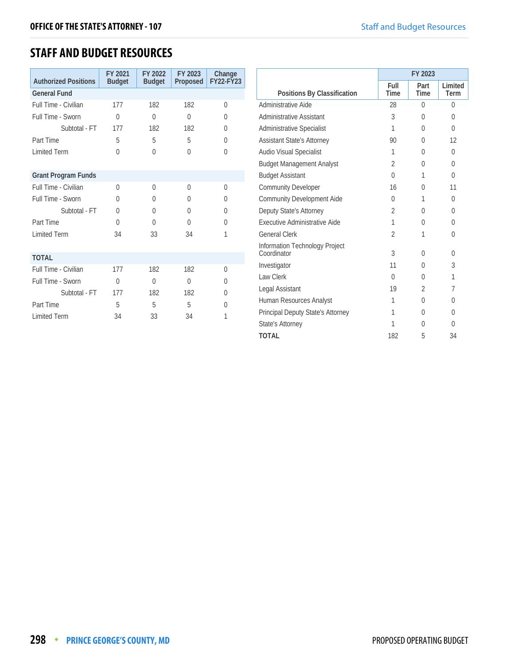## **STAFF AND BUDGET RESOURCES**

| <b>Authorized Positions</b> | FY 2021<br><b>Budget</b> | FY 2022<br><b>Budget</b> | FY 2023<br>Proposed | Change<br><b>FY22-FY23</b> |
|-----------------------------|--------------------------|--------------------------|---------------------|----------------------------|
| <b>General Fund</b>         |                          |                          |                     |                            |
| Full Time - Civilian        | 177                      | 182                      | 182                 | 0                          |
| Full Time - Sworn           | $\Omega$                 | $\Omega$                 | $\theta$            | $\Omega$                   |
| Subtotal - FT               | 177                      | 182                      | 182                 | $\Omega$                   |
| Part Time                   | 5                        | 5                        | 5                   | $\Omega$                   |
| <b>Limited Term</b>         | $\Omega$                 | 0                        | $\Omega$            | $\Omega$                   |
|                             |                          |                          |                     |                            |
| <b>Grant Program Funds</b>  |                          |                          |                     |                            |
| Full Time - Civilian        | $\Omega$                 | 0                        | $\Omega$            | $\Omega$                   |
| Full Time - Sworn           | $\Omega$                 | 0                        | $\Omega$            | $\Omega$                   |
| Subtotal - FT               | $\Omega$                 | $\Omega$                 | $\Omega$            | $\Omega$                   |
| Part Time                   | $\Omega$                 | $\Omega$                 | $\Omega$            | $\Omega$                   |
| <b>Limited Term</b>         | 34                       | 33                       | 34                  | 1                          |
|                             |                          |                          |                     |                            |
| <b>TOTAL</b>                |                          |                          |                     |                            |
| Full Time - Civilian        | 177                      | 182                      | 182                 | $\Omega$                   |
| Full Time - Sworn           | $\Omega$                 | $\Omega$                 | $\Omega$            | <sup>0</sup>               |
| Subtotal - FT               | 177                      | 182                      | 182                 | $\Omega$                   |
| Part Time                   | 5                        | 5                        | 5                   | U                          |
| <b>Limited Term</b>         | 34                       | 33                       | 34                  | 1                          |

|                                               | FY 2023        |                |                 |  |
|-----------------------------------------------|----------------|----------------|-----------------|--|
| Positions By Classification                   | Full<br>Time   | Part<br>Time   | Limited<br>Term |  |
| Administrative Aide                           | 28             | $\Omega$       | 0               |  |
| <b>Administrative Assistant</b>               | 3              | $\Omega$       | $\Omega$        |  |
| <b>Administrative Specialist</b>              | 1              | 0              | $\Omega$        |  |
| <b>Assistant State's Attorney</b>             | 90             | $\Omega$       | 12              |  |
| <b>Audio Visual Specialist</b>                | 1              | $\Omega$       | $\theta$        |  |
| <b>Budget Management Analyst</b>              | $\overline{2}$ | $\Omega$       | $\Omega$        |  |
| <b>Budget Assistant</b>                       | $\Omega$       | 1              | $\Omega$        |  |
| <b>Community Developer</b>                    | 16             | $\Omega$       | 11              |  |
| <b>Community Development Aide</b>             | $\Omega$       | 1              | $\Omega$        |  |
| Deputy State's Attorney                       | $\mathfrak{D}$ | $\Omega$       | $\Omega$        |  |
| Executive Administrative Aide                 | 1              | 0              | $\Omega$        |  |
| <b>General Clerk</b>                          | 2              | 1              | $\theta$        |  |
| Information Technology Project<br>Coordinator | 3              | $\Omega$       | $\Omega$        |  |
| Investigator                                  | 11             | $\Omega$       | 3               |  |
| Law Clerk                                     | $\Omega$       | 0              | 1               |  |
| Legal Assistant                               | 19             | $\mathfrak{D}$ | 7               |  |
| Human Resources Analyst                       | 1              | $\Omega$       | $\Omega$        |  |
| Principal Deputy State's Attorney             | 1              | $\Omega$       | $\Omega$        |  |
| State's Attorney                              | 1              | $\Omega$       | $\Omega$        |  |
| <b>TOTAL</b>                                  | 182            | 5              | 34              |  |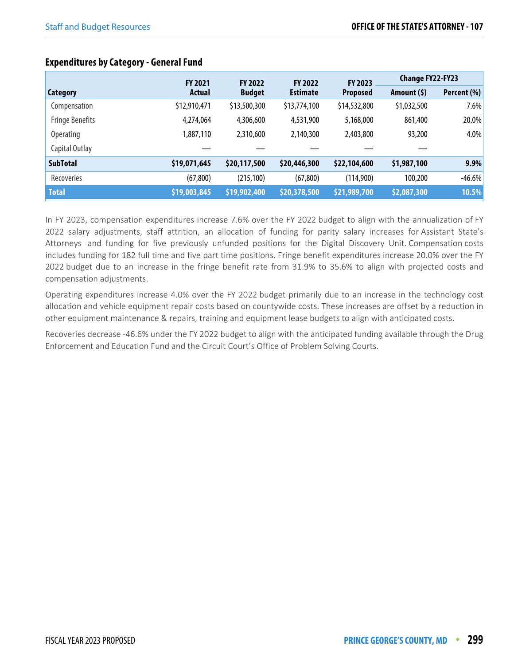|                        | <b>FY 2021</b> | <b>FY 2022</b>                   | <b>FY 2022</b> | <b>FY 2023</b>  | <b>Change FY22-FY23</b> |             |
|------------------------|----------------|----------------------------------|----------------|-----------------|-------------------------|-------------|
| Category               | Actual         | <b>Budget</b><br><b>Estimate</b> |                | <b>Proposed</b> | Amount (\$)             | Percent (%) |
| Compensation           | \$12,910,471   | \$13,500,300                     | \$13,774,100   | \$14,532,800    | \$1,032,500             | 7.6%        |
| <b>Fringe Benefits</b> | 4,274,064      | 4,306,600                        | 4,531,900      | 5,168,000       | 861,400                 | 20.0%       |
| <b>Operating</b>       | 1,887,110      | 2,310,600                        | 2,140,300      | 2,403,800       | 93,200                  | 4.0%        |
| Capital Outlay         |                |                                  |                |                 |                         |             |
| <b>SubTotal</b>        | \$19,071,645   | \$20,117,500                     | \$20,446,300   | \$22,104,600    | \$1,987,100             | 9.9%        |
| Recoveries             | (67, 800)      | (215, 100)                       | (67, 800)      | (114,900)       | 100,200                 | $-46.6%$    |
| <b>Total</b>           | \$19,003,845   | \$19,902,400                     | \$20,378,500   | \$21,989,700    | \$2,087,300             | 10.5%       |

## **Expenditures by Category - General Fund**

In FY 2023, compensation expenditures increase 7.6% over the FY 2022 budget to align with the annualization of FY 2022 salary adjustments, staff attrition, an allocation of funding for parity salary increases for Assistant State's Attorneys and funding for five previously unfunded positions for the Digital Discovery Unit. Compensation costs includes funding for 182 full time and five part time positions. Fringe benefit expenditures increase 20.0% over the FY 2022 budget due to an increase in the fringe benefit rate from 31.9% to 35.6% to align with projected costs and compensation adjustments.

Operating expenditures increase 4.0% over the FY 2022 budget primarily due to an increase in the technology cost allocation and vehicle equipment repair costs based on countywide costs. These increases are offset by a reduction in other equipment maintenance & repairs, training and equipment lease budgets to align with anticipated costs.

Recoveries decrease -46.6% under the FY 2022 budget to align with the anticipated funding available through the Drug Enforcement and Education Fund and the Circuit Court's Office of Problem Solving Courts.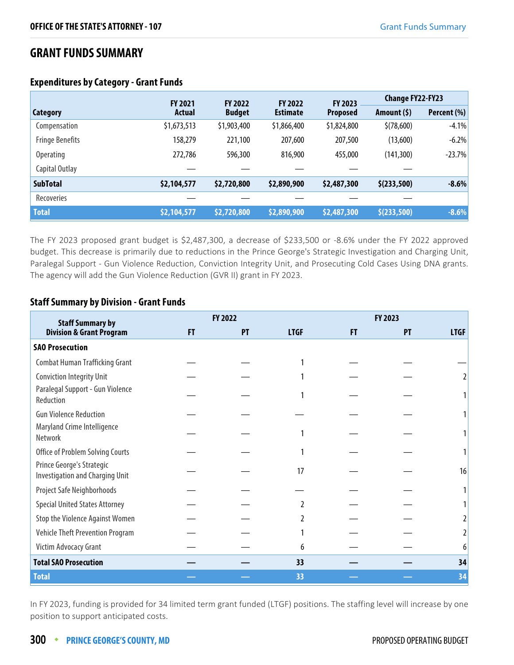## **GRANT FUNDS SUMMARY**

|                        | <b>FY 2021</b><br><b>FY 2022</b><br><b>FY 2022</b> |               | FY 2023         | <b>Change FY22-FY23</b> |              |             |
|------------------------|----------------------------------------------------|---------------|-----------------|-------------------------|--------------|-------------|
| Category               | Actual                                             | <b>Budget</b> | <b>Estimate</b> | <b>Proposed</b>         | Amount $(5)$ | Percent (%) |
| Compensation           | \$1,673,513                                        | \$1,903,400   | \$1,866,400     | \$1,824,800             | \$(78,600)   | $-4.1%$     |
| <b>Fringe Benefits</b> | 158,279                                            | 221,100       | 207,600         | 207,500                 | (13,600)     | $-6.2%$     |
| <b>Operating</b>       | 272,786                                            | 596,300       | 816,900         | 455,000                 | (141, 300)   | $-23.7%$    |
| Capital Outlay         |                                                    |               |                 |                         |              |             |
| <b>SubTotal</b>        | \$2,104,577                                        | \$2,720,800   | \$2,890,900     | \$2,487,300             | \$(233,500)  | $-8.6%$     |
| Recoveries             |                                                    |               |                 |                         |              |             |
| <b>Total</b>           | \$2,104,577                                        | \$2,720,800   | \$2,890,900     | \$2,487,300             | \$(233,500)  | $-8.6%$     |

## **Expenditures by Category - Grant Funds**

The FY 2023 proposed grant budget is \$2,487,300, a decrease of \$233,500 or -8.6% under the FY 2022 approved budget. This decrease is primarily due to reductions in the Prince George's Strategic Investigation and Charging Unit, Paralegal Support - Gun Violence Reduction, Conviction Integrity Unit, and Prosecuting Cold Cases Using DNA grants. The agency will add the Gun Violence Reduction (GVR II) grant in FY 2023.

## **Staff Summary by Division - Grant Funds**

| <b>Staff Summary by</b>                                             |    | FY 2022 |             |    | FY 2023 |             |  |  |
|---------------------------------------------------------------------|----|---------|-------------|----|---------|-------------|--|--|
| <b>Division &amp; Grant Program</b>                                 | FT | PT      | <b>LTGF</b> | FT | PT      | <b>LTGF</b> |  |  |
| <b>SAO Prosecution</b>                                              |    |         |             |    |         |             |  |  |
| <b>Combat Human Trafficking Grant</b>                               |    |         |             |    |         |             |  |  |
| <b>Conviction Integrity Unit</b>                                    |    |         |             |    |         |             |  |  |
| Paralegal Support - Gun Violence<br>Reduction                       |    |         |             |    |         |             |  |  |
| <b>Gun Violence Reduction</b>                                       |    |         |             |    |         |             |  |  |
| Maryland Crime Intelligence<br>Network                              |    |         |             |    |         |             |  |  |
| Office of Problem Solving Courts                                    |    |         |             |    |         |             |  |  |
| Prince George's Strategic<br><b>Investigation and Charging Unit</b> |    |         | 17          |    |         | 16          |  |  |
| Project Safe Neighborhoods                                          |    |         |             |    |         |             |  |  |
| <b>Special United States Attorney</b>                               |    |         |             |    |         |             |  |  |
| <b>Stop the Violence Against Women</b>                              |    |         |             |    |         |             |  |  |
| Vehicle Theft Prevention Program                                    |    |         |             |    |         |             |  |  |
| Victim Advocacy Grant                                               |    |         | 6           |    |         | 6           |  |  |
| <b>Total SAO Prosecution</b>                                        |    |         | 33          |    |         | 34          |  |  |
| <b>Total</b>                                                        |    |         | 33          |    |         | 34          |  |  |

In FY 2023, funding is provided for 34 limited term grant funded (LTGF) positions. The staffing level will increase by one position to support anticipated costs.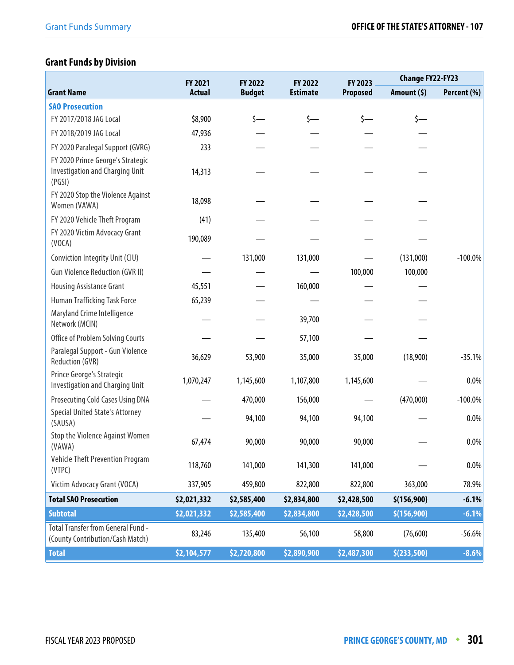# **Grant Funds by Division**

|                                                                                       | FY 2021       | FY 2022<br>FY 2022 |                 | FY 2023         | <b>Change FY22-FY23</b> |             |  |
|---------------------------------------------------------------------------------------|---------------|--------------------|-----------------|-----------------|-------------------------|-------------|--|
| <b>Grant Name</b>                                                                     | <b>Actual</b> | <b>Budget</b>      | <b>Estimate</b> | <b>Proposed</b> | Amount (\$)             | Percent (%) |  |
| <b>SAO Prosecution</b>                                                                |               |                    |                 |                 |                         |             |  |
| FY 2017/2018 JAG Local                                                                | \$8,900       | s—                 | \$—             | s—              | \$—                     |             |  |
| FY 2018/2019 JAG Local                                                                | 47,936        |                    |                 |                 |                         |             |  |
| FY 2020 Paralegal Support (GVRG)                                                      | 233           |                    |                 |                 |                         |             |  |
| FY 2020 Prince George's Strategic<br><b>Investigation and Charging Unit</b><br>(PGSI) | 14,313        |                    |                 |                 |                         |             |  |
| FY 2020 Stop the Violence Against<br>Women (VAWA)                                     | 18,098        |                    |                 |                 |                         |             |  |
| FY 2020 Vehicle Theft Program                                                         | (41)          |                    |                 |                 |                         |             |  |
| FY 2020 Victim Advocacy Grant<br>(VOCA)                                               | 190,089       |                    |                 |                 |                         |             |  |
| Conviction Integrity Unit (CIU)                                                       |               | 131,000            | 131,000         |                 | (131,000)               | $-100.0\%$  |  |
| <b>Gun Violence Reduction (GVR II)</b>                                                |               |                    |                 | 100,000         | 100,000                 |             |  |
| Housing Assistance Grant                                                              | 45,551        |                    | 160,000         |                 |                         |             |  |
| Human Trafficking Task Force                                                          | 65,239        |                    |                 |                 |                         |             |  |
| Maryland Crime Intelligence<br>Network (MCIN)                                         |               |                    | 39,700          |                 |                         |             |  |
| Office of Problem Solving Courts                                                      |               |                    | 57,100          |                 |                         |             |  |
| Paralegal Support - Gun Violence<br>Reduction (GVR)                                   | 36,629        | 53,900             | 35,000          | 35,000          | (18,900)                | $-35.1%$    |  |
| Prince George's Strategic<br><b>Investigation and Charging Unit</b>                   | 1,070,247     | 1,145,600          | 1,107,800       | 1,145,600       |                         | 0.0%        |  |
| <b>Prosecuting Cold Cases Using DNA</b>                                               |               | 470,000            | 156,000         |                 | (470,000)               | $-100.0\%$  |  |
| <b>Special United State's Attorney</b><br>(SAUSA)                                     |               | 94,100             | 94,100          | 94,100          |                         | 0.0%        |  |
| <b>Stop the Violence Against Women</b><br>(VAWA)                                      | 67,474        | 90,000             | 90,000          | 90,000          |                         | $0.0\%$     |  |
| <b>Vehicle Theft Prevention Program</b><br>(VTPC)                                     | 118,760       | 141,000            | 141,300         | 141,000         |                         | $0.0\%$     |  |
| Victim Advocacy Grant (VOCA)                                                          | 337,905       | 459,800            | 822,800         | 822,800         | 363,000                 | 78.9%       |  |
| <b>Total SAO Prosecution</b>                                                          | \$2,021,332   | \$2,585,400        | \$2,834,800     | \$2,428,500     | \$(156,900)             | $-6.1%$     |  |
| <b>Subtotal</b>                                                                       | \$2,021,332   | \$2,585,400        | \$2,834,800     | \$2,428,500     | \$(156,900)             | $-6.1%$     |  |
| Total Transfer from General Fund -<br>(County Contribution/Cash Match)                | 83,246        | 135,400            | 56,100          | 58,800          | (76,600)                | $-56.6%$    |  |
| <b>Total</b>                                                                          | \$2,104,577   | \$2,720,800        | \$2,890,900     | \$2,487,300     | \$(233,500)             | $-8.6%$     |  |